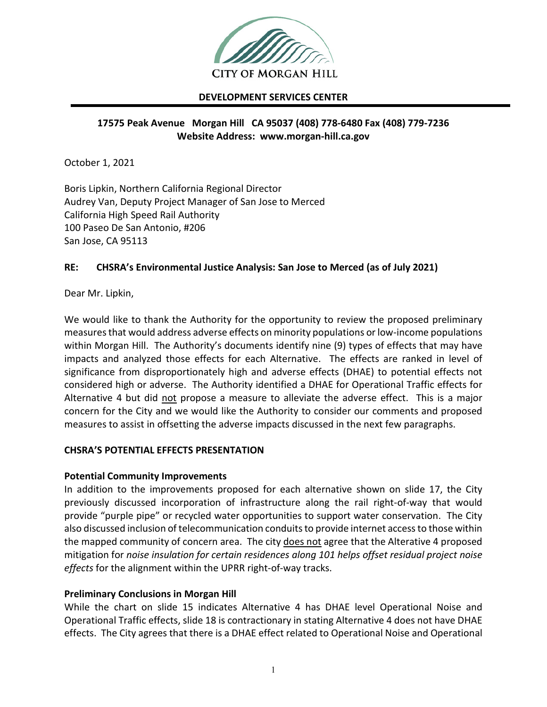

#### **DEVELOPMENT SERVICES CENTER**

# **17575 Peak Avenue Morgan Hill CA 95037 (408) 778-6480 Fax (408) 779-7236 Website Address: www.morgan-hill.ca.gov**

October 1, 2021

Boris Lipkin, Northern California Regional Director Audrey Van, Deputy Project Manager of San Jose to Merced California High Speed Rail Authority 100 Paseo De San Antonio, #206 San Jose, CA 95113

## **RE: CHSRA's Environmental Justice Analysis: San Jose to Merced (as of July 2021)**

Dear Mr. Lipkin,

We would like to thank the Authority for the opportunity to review the proposed preliminary measures that would address adverse effects on minority populations or low-income populations within Morgan Hill. The Authority's documents identify nine (9) types of effects that may have impacts and analyzed those effects for each Alternative. The effects are ranked in level of significance from disproportionately high and adverse effects (DHAE) to potential effects not considered high or adverse. The Authority identified a DHAE for Operational Traffic effects for Alternative 4 but did not propose a measure to alleviate the adverse effect. This is a major concern for the City and we would like the Authority to consider our comments and proposed measures to assist in offsetting the adverse impacts discussed in the next few paragraphs.

## **CHSRA'S POTENTIAL EFFECTS PRESENTATION**

#### **Potential Community Improvements**

In addition to the improvements proposed for each alternative shown on slide 17, the City previously discussed incorporation of infrastructure along the rail right-of-way that would provide "purple pipe" or recycled water opportunities to support water conservation. The City also discussed inclusion of telecommunication conduits to provide internet access to those within the mapped community of concern area. The city does not agree that the Alterative 4 proposed mitigation for *noise insulation for certain residences along 101 helps offset residual project noise effects* for the alignment within the UPRR right-of-way tracks.

## **Preliminary Conclusions in Morgan Hill**

While the chart on slide 15 indicates Alternative 4 has DHAE level Operational Noise and Operational Traffic effects, slide 18 is contractionary in stating Alternative 4 does not have DHAE effects. The City agrees that there is a DHAE effect related to Operational Noise and Operational